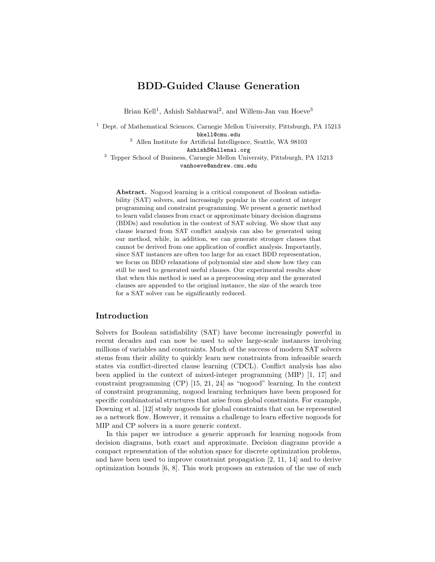# BDD-Guided Clause Generation

Brian Kell<sup>1</sup>, Ashish Sabharwal<sup>2</sup>, and Willem-Jan van Hoeve<sup>3</sup>

<sup>1</sup> Dept. of Mathematical Sciences, Carnegie Mellon University, Pittsburgh, PA 15213 bkell@cmu.edu  $^{\rm 2}$  Allen Institute for Artificial Intelligence, Seattle, WA 98103 AshishS@allenai.org

<sup>3</sup> Tepper School of Business, Carnegie Mellon University, Pittsburgh, PA 15213 vanhoeve@andrew.cmu.edu

Abstract. Nogood learning is a critical component of Boolean satisfiability (SAT) solvers, and increasingly popular in the context of integer programming and constraint programming. We present a generic method to learn valid clauses from exact or approximate binary decision diagrams (BDDs) and resolution in the context of SAT solving. We show that any clause learned from SAT conflict analysis can also be generated using our method, while, in addition, we can generate stronger clauses that cannot be derived from one application of conflict analysis. Importantly, since SAT instances are often too large for an exact BDD representation, we focus on BDD relaxations of polynomial size and show how they can still be used to generated useful clauses. Our experimental results show that when this method is used as a preprocessing step and the generated clauses are appended to the original instance, the size of the search tree for a SAT solver can be significantly reduced.

## Introduction

Solvers for Boolean satisfiability (SAT) have become increasingly powerful in recent decades and can now be used to solve large-scale instances involving millions of variables and constraints. Much of the success of modern SAT solvers stems from their ability to quickly learn new constraints from infeasible search states via conflict-directed clause learning (CDCL). Conflict analysis has also been applied in the context of mixed-integer programming (MIP) [1, 17] and constraint programming (CP) [15, 21, 24] as "nogood" learning. In the context of constraint programming, nogood learning techniques have been proposed for specific combinatorial structures that arise from global constraints. For example, Downing et al. [12] study nogoods for global constraints that can be represented as a network flow. However, it remains a challenge to learn effective nogoods for MIP and CP solvers in a more generic context.

In this paper we introduce a generic approach for learning nogoods from decision diagrams, both exact and approximate. Decision diagrams provide a compact representation of the solution space for discrete optimization problems, and have been used to improve constraint propagation [2, 11, 14] and to derive optimization bounds [6, 8]. This work proposes an extension of the use of such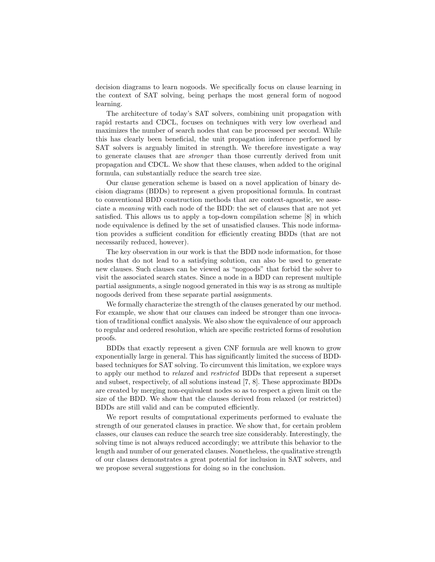decision diagrams to learn nogoods. We specifically focus on clause learning in the context of SAT solving, being perhaps the most general form of nogood learning.

The architecture of today's SAT solvers, combining unit propagation with rapid restarts and CDCL, focuses on techniques with very low overhead and maximizes the number of search nodes that can be processed per second. While this has clearly been beneficial, the unit propagation inference performed by SAT solvers is arguably limited in strength. We therefore investigate a way to generate clauses that are stronger than those currently derived from unit propagation and CDCL. We show that these clauses, when added to the original formula, can substantially reduce the search tree size.

Our clause generation scheme is based on a novel application of binary decision diagrams (BDDs) to represent a given propositional formula. In contrast to conventional BDD construction methods that are context-agnostic, we associate a meaning with each node of the BDD: the set of clauses that are not yet satisfied. This allows us to apply a top-down compilation scheme [8] in which node equivalence is defined by the set of unsatisfied clauses. This node information provides a sufficient condition for efficiently creating BDDs (that are not necessarily reduced, however).

The key observation in our work is that the BDD node information, for those nodes that do not lead to a satisfying solution, can also be used to generate new clauses. Such clauses can be viewed as "nogoods" that forbid the solver to visit the associated search states. Since a node in a BDD can represent multiple partial assignments, a single nogood generated in this way is as strong as multiple nogoods derived from these separate partial assignments.

We formally characterize the strength of the clauses generated by our method. For example, we show that our clauses can indeed be stronger than one invocation of traditional conflict analysis. We also show the equivalence of our approach to regular and ordered resolution, which are specific restricted forms of resolution proofs.

BDDs that exactly represent a given CNF formula are well known to grow exponentially large in general. This has significantly limited the success of BDDbased techniques for SAT solving. To circumvent this limitation, we explore ways to apply our method to relaxed and restricted BDDs that represent a superset and subset, respectively, of all solutions instead [7, 8]. These approximate BDDs are created by merging non-equivalent nodes so as to respect a given limit on the size of the BDD. We show that the clauses derived from relaxed (or restricted) BDDs are still valid and can be computed efficiently.

We report results of computational experiments performed to evaluate the strength of our generated clauses in practice. We show that, for certain problem classes, our clauses can reduce the search tree size considerably. Interestingly, the solving time is not always reduced accordingly; we attribute this behavior to the length and number of our generated clauses. Nonetheless, the qualitative strength of our clauses demonstrates a great potential for inclusion in SAT solvers, and we propose several suggestions for doing so in the conclusion.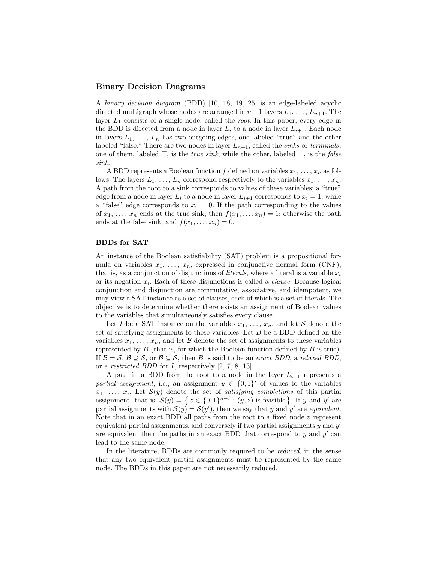## Binary Decision Diagrams

A binary decision diagram (BDD) [10, 18, 19, 25] is an edge-labeled acyclic directed multigraph whose nodes are arranged in  $n+1$  layers  $L_1, \ldots, L_{n+1}$ . The layer  $L_1$  consists of a single node, called the *root*. In this paper, every edge in the BDD is directed from a node in layer  $L_i$  to a node in layer  $L_{i+1}$ . Each node in layers  $L_1, \ldots, L_n$  has two outgoing edges, one labeled "true" and the other labeled "false." There are two nodes in layer  $L_{n+1}$ , called the *sinks* or *terminals*; one of them, labeled  $\top$ , is the *true sink*, while the other, labeled  $\bot$ , is the *false* sink.

A BDD represents a Boolean function f defined on variables  $x_1, \ldots, x_n$  as follows. The layers  $L_1, \ldots, L_n$  correspond respectively to the variables  $x_1, \ldots, x_n$ . A path from the root to a sink corresponds to values of these variables; a "true" edge from a node in layer  $L_i$  to a node in layer  $L_{i+1}$  corresponds to  $x_i = 1$ , while a "false" edge corresponds to  $x_i = 0$ . If the path corresponding to the values of  $x_1, \ldots, x_n$  ends at the true sink, then  $f(x_1, \ldots, x_n) = 1$ ; otherwise the path ends at the false sink, and  $f(x_1, \ldots, x_n) = 0$ .

#### BDDs for SAT

An instance of the Boolean satisfiability (SAT) problem is a propositional formula on variables  $x_1, \ldots, x_n$ , expressed in conjunctive normal form (CNF), that is, as a conjunction of disjunctions of *literals*, where a literal is a variable  $x_i$ or its negation  $\bar{x}_i$ . Each of these disjunctions is called a *clause*. Because logical conjunction and disjunction are commutative, associative, and idempotent, we may view a SAT instance as a set of clauses, each of which is a set of literals. The objective is to determine whether there exists an assignment of Boolean values to the variables that simultaneously satisfies every clause.

Let I be a SAT instance on the variables  $x_1, \ldots, x_n$ , and let S denote the set of satisfying assignments to these variables. Let  $B$  be a BDD defined on the variables  $x_1, \ldots, x_n$ , and let  $\beta$  denote the set of assignments to these variables represented by  $B$  (that is, for which the Boolean function defined by  $B$  is true). If  $\mathcal{B} = \mathcal{S}, \mathcal{B} \supseteq \mathcal{S},$  or  $\mathcal{B} \subseteq \mathcal{S}$ , then B is said to be an exact BDD, a relaxed BDD, or a restricted BDD for I, respectively  $[2, 7, 8, 13]$ .

A path in a BDD from the root to a node in the layer  $L_{i+1}$  represents a partial assignment, i.e., an assignment  $y \in \{0,1\}^i$  of values to the variables  $x_1, \ldots, x_i$ . Let  $\mathcal{S}(y)$  denote the set of satisfying completions of this partial assignment, that is,  $S(y) = \{ z \in \{0,1\}^{n-i} : (y, z)$  is feasible }. If y and y' are partial assignments with  $\mathcal{S}(y) = \mathcal{S}(y')$ , then we say that y and y' are *equivalent*. Note that in an exact BDD all paths from the root to a fixed node v represent equivalent partial assignments, and conversely if two partial assignments  $y$  and  $y'$ are equivalent then the paths in an exact BDD that correspond to  $y$  and  $y'$  can lead to the same node.

In the literature, BDDs are commonly required to be reduced, in the sense that any two equivalent partial assignments must be represented by the same node. The BDDs in this paper are not necessarily reduced.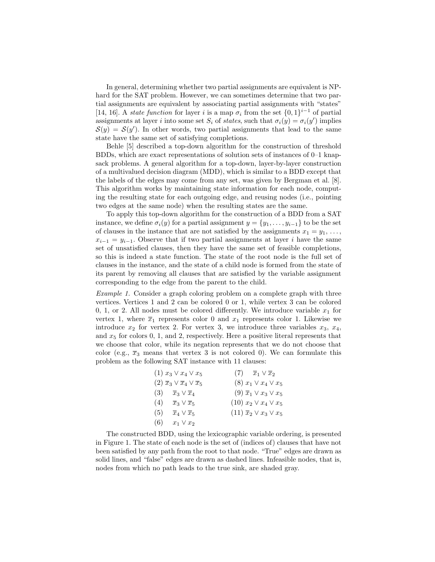In general, determining whether two partial assignments are equivalent is NPhard for the SAT problem. However, we can sometimes determine that two partial assignments are equivalent by associating partial assignments with "states" [14, 16]. A *state function* for layer *i* is a map  $\sigma_i$  from the set  $\{0,1\}^{i-1}$  of partial assignments at layer i into some set  $S_i$  of states, such that  $\sigma_i(y) = \sigma_i(y')$  implies  $S(y) = S(y')$ . In other words, two partial assignments that lead to the same state have the same set of satisfying completions.

Behle [5] described a top-down algorithm for the construction of threshold BDDs, which are exact representations of solution sets of instances of 0–1 knapsack problems. A general algorithm for a top-down, layer-by-layer construction of a multivalued decision diagram (MDD), which is similar to a BDD except that the labels of the edges may come from any set, was given by Bergman et al. [8]. This algorithm works by maintaining state information for each node, computing the resulting state for each outgoing edge, and reusing nodes (i.e., pointing two edges at the same node) when the resulting states are the same.

To apply this top-down algorithm for the construction of a BDD from a SAT instance, we define  $\sigma_i(y)$  for a partial assignment  $y = \{y_1, \ldots, y_{i-1}\}\)$  to be the set of clauses in the instance that are not satisfied by the assignments  $x_1 = y_1, \ldots,$  $x_{i-1} = y_{i-1}$ . Observe that if two partial assignments at layer i have the same set of unsatisfied clauses, then they have the same set of feasible completions, so this is indeed a state function. The state of the root node is the full set of clauses in the instance, and the state of a child node is formed from the state of its parent by removing all clauses that are satisfied by the variable assignment corresponding to the edge from the parent to the child.

Example 1. Consider a graph coloring problem on a complete graph with three vertices. Vertices 1 and 2 can be colored 0 or 1, while vertex 3 can be colored 0, 1, or 2. All nodes must be colored differently. We introduce variable  $x_1$  for vertex 1, where  $\overline{x}_1$  represents color 0 and  $x_1$  represents color 1. Likewise we introduce  $x_2$  for vertex 2. For vertex 3, we introduce three variables  $x_3, x_4$ , and  $x<sub>5</sub>$  for colors 0, 1, and 2, respectively. Here a positive literal represents that we choose that color, while its negation represents that we do not choose that color (e.g.,  $\bar{x}_3$  means that vertex 3 is not colored 0). We can formulate this problem as the following SAT instance with 11 clauses:

|     | $(1) x_3 \vee x_4 \vee x_5$                                  | $(7)$ $\overline{x}_1 \vee \overline{x}_2$ |
|-----|--------------------------------------------------------------|--------------------------------------------|
|     | $(2) \overline{x}_3 \vee \overline{x}_4 \vee \overline{x}_5$ | $(8) x_1 \vee x_4 \vee x_5$                |
|     | $(3)$ $\overline{x}_3 \vee \overline{x}_4$                   | $(9)$ $\overline{x}_1 \vee x_3 \vee x_5$   |
| (4) | $\overline{x}_3 \vee \overline{x}_5$                         | $(10) x_2 \vee x_4 \vee x_5$               |
| (5) | $\overline{x}_4 \vee \overline{x}_5$                         | $(11) \bar{x}_2 \vee x_3 \vee x_5$         |
| (6) | $x_1 \vee x_2$                                               |                                            |

The constructed BDD, using the lexicographic variable ordering, is presented in Figure 1. The state of each node is the set of (indices of) clauses that have not been satisfied by any path from the root to that node. "True" edges are drawn as solid lines, and "false" edges are drawn as dashed lines. Infeasible nodes, that is, nodes from which no path leads to the true sink, are shaded gray.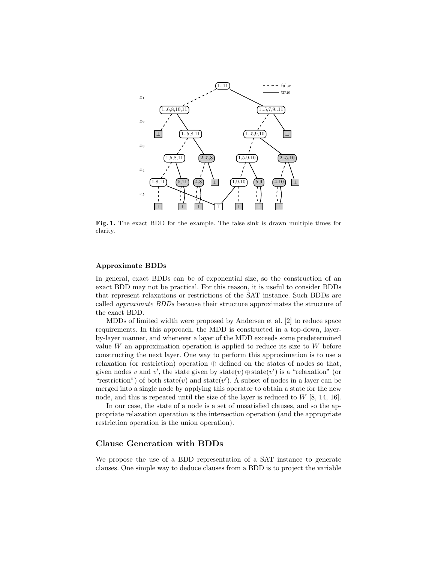

Fig. 1. The exact BDD for the example. The false sink is drawn multiple times for clarity.

#### Approximate BDDs

In general, exact BDDs can be of exponential size, so the construction of an exact BDD may not be practical. For this reason, it is useful to consider BDDs that represent relaxations or restrictions of the SAT instance. Such BDDs are called approximate BDDs because their structure approximates the structure of the exact BDD.

MDDs of limited width were proposed by Andersen et al. [2] to reduce space requirements. In this approach, the MDD is constructed in a top-down, layerby-layer manner, and whenever a layer of the MDD exceeds some predetermined value  $W$  an approximation operation is applied to reduce its size to  $W$  before constructing the next layer. One way to perform this approximation is to use a relaxation (or restriction) operation  $\oplus$  defined on the states of nodes so that, given nodes v and v', the state given by  $state(v) \oplus state(v')$  is a "relaxation" (or "restriction") of both state(v) and state(v'). A subset of nodes in a layer can be merged into a single node by applying this operator to obtain a state for the new node, and this is repeated until the size of the layer is reduced to W [8, 14, 16].

In our case, the state of a node is a set of unsatisfied clauses, and so the appropriate relaxation operation is the intersection operation (and the appropriate restriction operation is the union operation).

## Clause Generation with BDDs

We propose the use of a BDD representation of a SAT instance to generate clauses. One simple way to deduce clauses from a BDD is to project the variable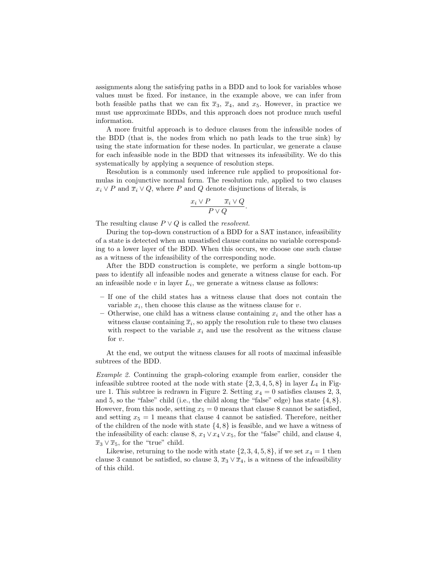assignments along the satisfying paths in a BDD and to look for variables whose values must be fixed. For instance, in the example above, we can infer from both feasible paths that we can fix  $\overline{x}_3$ ,  $\overline{x}_4$ , and  $x_5$ . However, in practice we must use approximate BDDs, and this approach does not produce much useful information.

A more fruitful approach is to deduce clauses from the infeasible nodes of the BDD (that is, the nodes from which no path leads to the true sink) by using the state information for these nodes. In particular, we generate a clause for each infeasible node in the BDD that witnesses its infeasibility. We do this systematically by applying a sequence of resolution steps.

Resolution is a commonly used inference rule applied to propositional formulas in conjunctive normal form. The resolution rule, applied to two clauses  $x_i \vee P$  and  $\overline{x}_i \vee Q$ , where P and Q denote disjunctions of literals, is

$$
\frac{x_i \vee P \qquad \overline{x}_i \vee Q}{P \vee Q}.
$$

The resulting clause  $P \vee Q$  is called the *resolvent*.

During the top-down construction of a BDD for a SAT instance, infeasibility of a state is detected when an unsatisfied clause contains no variable corresponding to a lower layer of the BDD. When this occurs, we choose one such clause as a witness of the infeasibility of the corresponding node.

After the BDD construction is complete, we perform a single bottom-up pass to identify all infeasible nodes and generate a witness clause for each. For an infeasible node  $v$  in layer  $L_i$ , we generate a witness clause as follows:

- If one of the child states has a witness clause that does not contain the variable  $x_i$ , then choose this clause as the witness clause for  $v$ .
- Otherwise, one child has a witness clause containing  $x_i$  and the other has a witness clause containing  $\bar{x}_i$ , so apply the resolution rule to these two clauses with respect to the variable  $x_i$  and use the resolvent as the witness clause for  $v$ .

At the end, we output the witness clauses for all roots of maximal infeasible subtrees of the BDD.

Example 2. Continuing the graph-coloring example from earlier, consider the infeasible subtree rooted at the node with state  $\{2, 3, 4, 5, 8\}$  in layer  $L_4$  in Figure 1. This subtree is redrawn in Figure 2. Setting  $x_4 = 0$  satisfies clauses 2, 3, and 5, so the "false" child (i.e., the child along the "false" edge) has state  $\{4, 8\}$ . However, from this node, setting  $x_5 = 0$  means that clause 8 cannot be satisfied, and setting  $x_5 = 1$  means that clause 4 cannot be satisfied. Therefore, neither of the children of the node with state  $\{4, 8\}$  is feasible, and we have a witness of the infeasibility of each: clause 8,  $x_1 \vee x_4 \vee x_5$ , for the "false" child, and clause 4,  $\overline{x}_3 \vee \overline{x}_5$ , for the "true" child.

Likewise, returning to the node with state  $\{2, 3, 4, 5, 8\}$ , if we set  $x_4 = 1$  then clause 3 cannot be satisfied, so clause 3,  $\bar{x}_3 \vee \bar{x}_4$ , is a witness of the infeasibility of this child.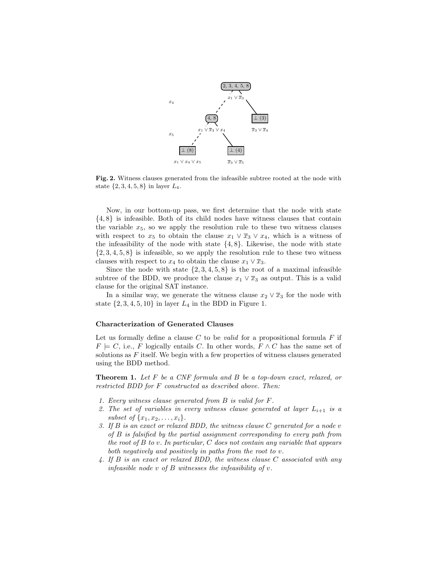

Fig. 2. Witness clauses generated from the infeasible subtree rooted at the node with state  $\{2, 3, 4, 5, 8\}$  in layer  $L_4$ .

Now, in our bottom-up pass, we first determine that the node with state {4, 8} is infeasible. Both of its child nodes have witness clauses that contain the variable  $x_5$ , so we apply the resolution rule to these two witness clauses with respect to  $x_5$  to obtain the clause  $x_1 \vee \overline{x}_3 \vee x_4$ , which is a witness of the infeasibility of the node with state  $\{4, 8\}$ . Likewise, the node with state  $\{2, 3, 4, 5, 8\}$  is infeasible, so we apply the resolution rule to these two witness clauses with respect to  $x_4$  to obtain the clause  $x_1 \vee \overline{x}_3$ .

Since the node with state  $\{2, 3, 4, 5, 8\}$  is the root of a maximal infeasible subtree of the BDD, we produce the clause  $x_1 \vee \overline{x}_3$  as output. This is a valid clause for the original SAT instance.

In a similar way, we generate the witness clause  $x_2 \vee \overline{x}_3$  for the node with state  $\{2, 3, 4, 5, 10\}$  in layer  $L_4$  in the BDD in Figure 1.

#### Characterization of Generated Clauses

Let us formally define a clause  $C$  to be *valid* for a propositional formula  $F$  if  $F \models C$ , i.e., F logically entails C. In other words,  $F \wedge C$  has the same set of solutions as  $F$  itself. We begin with a few properties of witness clauses generated using the BDD method.

Theorem 1. Let F be a CNF formula and B be a top-down exact, relaxed, or restricted BDD for F constructed as described above. Then:

- 1. Every witness clause generated from B is valid for F.
- 2. The set of variables in every witness clause generated at layer  $L_{i+1}$  is a subset of  $\{x_1, x_2, \ldots, x_i\}.$
- 3. If B is an exact or relaxed BDD, the witness clause C generated for a node v of B is falsified by the partial assignment corresponding to every path from the root of  $B$  to  $v$ . In particular,  $C$  does not contain any variable that appears both negatively and positively in paths from the root to v.
- 4. If B is an exact or relaxed BDD, the witness clause C associated with any infeasible node  $v$  of  $B$  witnesses the infeasibility of  $v$ .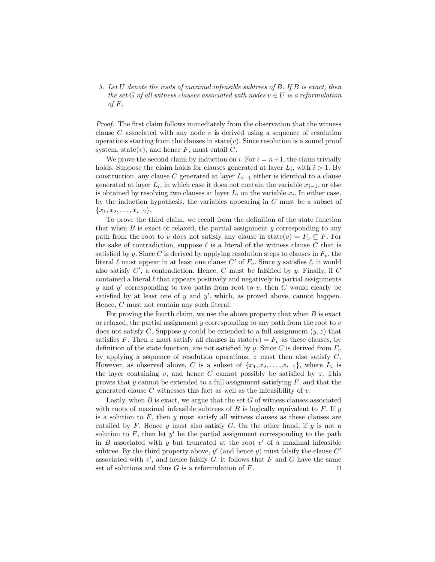5. Let U denote the roots of maximal infeasible subtrees of B. If B is exact, then the set G of all witness clauses associated with nodes  $v \in U$  is a reformulation of  $F$ .

Proof. The first claim follows immediately from the observation that the witness clause  $C$  associated with any node  $v$  is derived using a sequence of resolution operations starting from the clauses in state $(v)$ . Since resolution is a sound proof system, state(v), and hence  $F$ , must entail  $C$ .

We prove the second claim by induction on i. For  $i = n+1$ , the claim trivially holds. Suppose the claim holds for clauses generated at layer  $L_i$ , with  $i > 1$ . By construction, any clause C generated at layer  $L_{i-1}$  either is identical to a clause generated at layer  $L_i$ , in which case it does not contain the variable  $x_{i-1}$ , or else is obtained by resolving two clauses at layer  $L_i$  on the variable  $x_i$ . In either case, by the induction hypothesis, the variables appearing in C must be a subset of  $\{x_1, x_2, \ldots, x_{i-2}\}.$ 

To prove the third claim, we recall from the definition of the state function that when  $B$  is exact or relaxed, the partial assignment  $y$  corresponding to any path from the root to v does not satisfy any clause in state(v) =  $F_v \subseteq F$ . For the sake of contradiction, suppose  $\ell$  is a literal of the witness clause C that is satisfied by y. Since C is derived by applying resolution steps to clauses in  $F_v$ , the literal  $\ell$  must appear in at least one clause C' of  $F_v$ . Since y satisfies  $\ell$ , it would also satisfy  $C'$ , a contradiction. Hence,  $C$  must be falsified by  $y$ . Finally, if  $C$ contained a literal  $\ell$  that appears positively and negatively in partial assignments y and y' corresponding to two paths from root to  $v$ , then  $C$  would clearly be satisfied by at least one of  $y$  and  $y'$ , which, as proved above, cannot happen. Hence, C must not contain any such literal.

For proving the fourth claim, we use the above property that when  $B$  is exact or relaxed, the partial assignment  $y$  corresponding to any path from the root to  $v$ does not satisfy C. Suppose y could be extended to a full assignment  $(y, z)$  that satisfies F. Then z must satisfy all clauses in state(v) =  $F_v$  as these clauses, by definition of the state function, are not satisfied by y. Since C is derived from  $F_v$ by applying a sequence of resolution operations, z must then also satisfy C. However, as observed above, C is a subset of  $\{x_1, x_2, \ldots, x_{i-1}\}$ , where  $L_i$  is the layer containing  $v$ , and hence  $C$  cannot possibly be satisfied by  $z$ . This proves that y cannot be extended to a full assignment satisfying  $F$ , and that the generated clause  $C$  witnesses this fact as well as the infeasibility of  $v$ .

Lastly, when  $B$  is exact, we argue that the set  $G$  of witness clauses associated with roots of maximal infeasible subtrees of  $B$  is logically equivalent to  $F$ . If  $y$ is a solution to  $F$ , then  $y$  must satisfy all witness clauses as these clauses are entailed by  $F$ . Hence  $y$  must also satisfy  $G$ . On the other hand, if  $y$  is not a solution to  $F$ , then let  $y'$  be the partial assignment corresponding to the path in  $B$  associated with  $y$  but truncated at the root  $v'$  of a maximal infeasible subtree. By the third property above,  $y'$  (and hence  $y$ ) must falsify the clause  $C'$ associated with  $v'$ , and hence falsify  $G$ . It follows that  $F$  and  $G$  have the same set of solutions and thus G is a reformulation of F.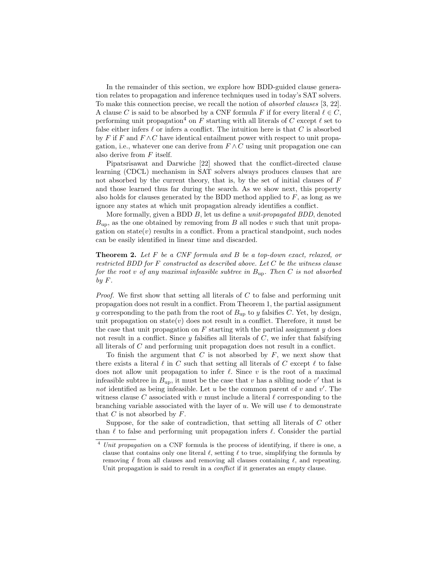In the remainder of this section, we explore how BDD-guided clause generation relates to propagation and inference techniques used in today's SAT solvers. To make this connection precise, we recall the notion of absorbed clauses [3, 22]. A clause C is said to be absorbed by a CNF formula F if for every literal  $\ell \in C$ , performing unit propagation<sup>4</sup> on F starting with all literals of C except  $\ell$  set to false either infers  $\ell$  or infers a conflict. The intuition here is that C is absorbed by F if F and  $F \wedge C$  have identical entailment power with respect to unit propagation, i.e., whatever one can derive from  $F \wedge C$  using unit propagation one can also derive from  $F$  itself.

Pipatsrisawat and Darwiche [22] showed that the conflict-directed clause learning (CDCL) mechanism in SAT solvers always produces clauses that are not absorbed by the current theory, that is, by the set of initial clauses of  $F$ and those learned thus far during the search. As we show next, this property also holds for clauses generated by the BDD method applied to  $F$ , as long as we ignore any states at which unit propagation already identifies a conflict.

More formally, given a BDD B, let us define a unit-propagated BDD, denoted  $B_{\rm up}$ , as the one obtained by removing from B all nodes v such that unit propagation on state $(v)$  results in a conflict. From a practical standpoint, such nodes can be easily identified in linear time and discarded.

Theorem 2. Let F be a CNF formula and B be a top-down exact, relaxed, or restricted BDD for  $F$  constructed as described above. Let  $C$  be the witness clause for the root v of any maximal infeasible subtree in  $B_{\rm up}$ . Then C is not absorbed by  $F$ .

Proof. We first show that setting all literals of C to false and performing unit propagation does not result in a conflict. From Theorem 1, the partial assignment y corresponding to the path from the root of  $B_{\rm up}$  to y falsifies C. Yet, by design, unit propagation on state $(v)$  does not result in a conflict. Therefore, it must be the case that unit propagation on  $F$  starting with the partial assignment  $y$  does not result in a conflict. Since  $y$  falsifies all literals of  $C$ , we infer that falsifying all literals of C and performing unit propagation does not result in a conflict.

To finish the argument that  $C$  is not absorbed by  $F$ , we next show that there exists a literal  $\ell$  in C such that setting all literals of C except  $\ell$  to false does not allow unit propagation to infer  $\ell$ . Since v is the root of a maximal infeasible subtree in  $B_{\rm up}$ , it must be the case that v has a sibling node v' that is not identified as being infeasible. Let  $u$  be the common parent of  $v$  and  $v'$ . The witness clause C associated with v must include a literal  $\ell$  corresponding to the branching variable associated with the layer of  $u$ . We will use  $\ell$  to demonstrate that  $C$  is not absorbed by  $F$ .

Suppose, for the sake of contradiction, that setting all literals of C other than  $\ell$  to false and performing unit propagation infers  $\ell$ . Consider the partial

<sup>&</sup>lt;sup>4</sup> Unit propagation on a CNF formula is the process of identifying, if there is one, a clause that contains only one literal  $\ell$ , setting  $\ell$  to true, simplifying the formula by removing  $\bar{\ell}$  from all clauses and removing all clauses containing  $\ell$ , and repeating. Unit propagation is said to result in a *conflict* if it generates an empty clause.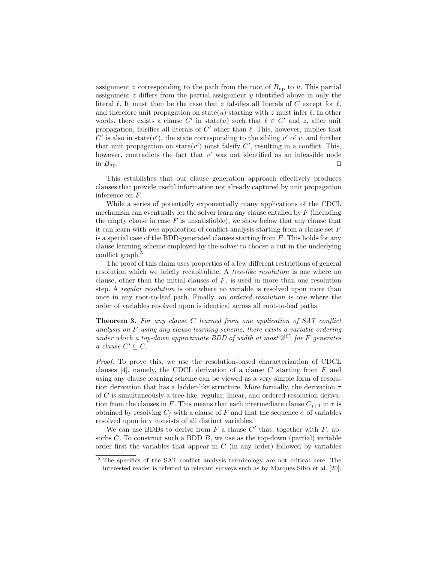assignment z corresponding to the path from the root of  $B_{\text{up}}$  to u. This partial assignment z differs from the partial assignment y identified above in only the literal  $\ell$ . It must then be the case that z falsifies all literals of C except for  $\ell$ , and therefore unit propagation on state(u) starting with z must infer  $\ell$ . In other words, there exists a clause C' in state(u) such that  $\ell \in C'$  and z, after unit propagation, falsifies all literals of  $C'$  other than  $\ell$ . This, however, implies that C' is also in state(v'), the state corresponding to the sibling v' of v, and further that unit propagation on state( $v'$ ) must falsify  $C'$ , resulting in a conflict. This, however, contradicts the fact that  $v'$  was not identified as an infeasible node in  $B_{\rm up}$ .

This establishes that our clause generation approach effectively produces clauses that provide useful information not already captured by unit propagation inference on F.

While a series of potentially exponentially many applications of the CDCL mechanism can eventually let the solver learn any clause entailed by  $F$  (including the empty clause in case  $F$  is unsatisfiable), we show below that any clause that it can learn with *one* application of conflict analysis starting from a clause set  $F$ is a special case of the BDD-generated clauses starting from  $F$ . This holds for any clause learning scheme employed by the solver to choose a cut in the underlying conflict graph.<sup>5</sup>

The proof of this claim uses properties of a few different restrictions of general resolution which we briefly recapitulate. A *tree-like resolution* is one where no clause, other than the initial clauses of  $F$ , is used in more than one resolution step. A regular resolution is one where no variable is resolved upon more than once in any root-to-leaf path. Finally, an ordered resolution is one where the order of variables resolved upon is identical across all root-to-leaf paths.

Theorem 3. For any clause C learned from one application of SAT conflict analysis on F using any clause learning scheme, there exists a variable ordering under which a top-down approximate BDD of width at most  $2^{|C|}$  for F generates a clause  $C' \subseteq C$ .

Proof. To prove this, we use the resolution-based characterization of CDCL clauses [4], namely, the CDCL derivation of a clause  $C$  starting from  $F$  and using any clause learning scheme can be viewed as a very simple form of resolution derivation that has a ladder-like structure. More formally, the derivation  $\tau$ of C is simultaneously a tree-like, regular, linear, and ordered resolution derivation from the clauses in F. This means that each intermediate clause  $C_{j+1}$  in  $\tau$  is obtained by resolving  $C_i$  with a clause of F and that the sequence  $\sigma$  of variables resolved upon in  $\tau$  consists of all distinct variables.

We can use BDDs to derive from  $F$  a clause  $C'$  that, together with  $F$ , absorbs  $C$ . To construct such a BDD  $B$ , we use as the top-down (partial) variable order first the variables that appear in  $C$  (in any order) followed by variables

<sup>&</sup>lt;sup>5</sup> The specifics of the SAT conflict analysis terminology are not critical here. The interested reader is referred to relevant surveys such as by Marques-Silva et al. [20].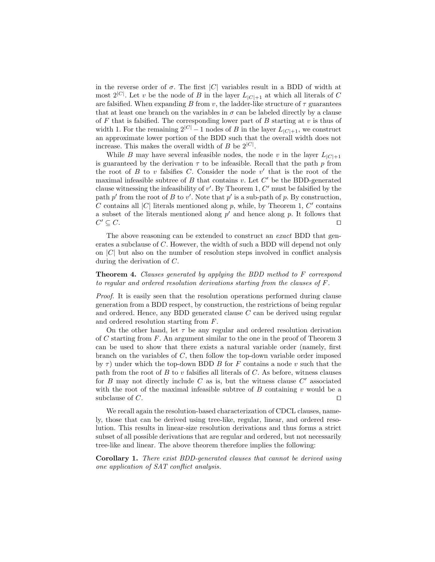in the reverse order of  $\sigma$ . The first |C| variables result in a BDD of width at most  $2^{|C|}$ . Let v be the node of B in the layer  $L_{|C|+1}$  at which all literals of C are falsified. When expanding B from v, the ladder-like structure of  $\tau$  guarantees that at least one branch on the variables in  $\sigma$  can be labeled directly by a clause of  $F$  that is falsified. The corresponding lower part of  $B$  starting at  $v$  is thus of width 1. For the remaining  $2^{|C|} - 1$  nodes of B in the layer  $L_{|C|+1}$ , we construct an approximate lower portion of the BDD such that the overall width does not increase. This makes the overall width of  $B$  be  $2^{|C|}$ .

While B may have several infeasible nodes, the node v in the layer  $L_{|C|+1}$ is guaranteed by the derivation  $\tau$  to be infeasible. Recall that the path p from the root of  $B$  to  $v$  falsifies  $C$ . Consider the node  $v'$  that is the root of the maximal infeasible subtree of  $B$  that contains  $v$ . Let  $C'$  be the BDD-generated clause witnessing the infeasibility of  $v'$ . By Theorem 1,  $C'$  must be falsified by the path  $p'$  from the root of B to v'. Note that  $p'$  is a sub-path of p. By construction, C contains all  $|C|$  literals mentioned along p, while, by Theorem 1,  $C'$  contains a subset of the literals mentioned along  $p'$  and hence along  $p$ . It follows that  $C' \subseteq C$ .  $\mathcal{C}$   $\subseteq$   $C$ .

The above reasoning can be extended to construct an exact BDD that generates a subclause of C. However, the width of such a BDD will depend not only on  $|C|$  but also on the number of resolution steps involved in conflict analysis during the derivation of C.

## Theorem 4. Clauses generated by applying the BDD method to F correspond to regular and ordered resolution derivations starting from the clauses of F.

Proof. It is easily seen that the resolution operations performed during clause generation from a BDD respect, by construction, the restrictions of being regular and ordered. Hence, any BDD generated clause C can be derived using regular and ordered resolution starting from F.

On the other hand, let  $\tau$  be any regular and ordered resolution derivation of C starting from  $F$ . An argument similar to the one in the proof of Theorem 3 can be used to show that there exists a natural variable order (namely, first branch on the variables of C, then follow the top-down variable order imposed by  $\tau$ ) under which the top-down BDD B for F contains a node v such that the path from the root of  $B$  to  $v$  falsifies all literals of  $C$ . As before, witness clauses for  $B$  may not directly include  $C$  as is, but the witness clause  $C'$  associated with the root of the maximal infeasible subtree of  $B$  containing  $v$  would be a subclause of C.

We recall again the resolution-based characterization of CDCL clauses, namely, those that can be derived using tree-like, regular, linear, and ordered resolution. This results in linear-size resolution derivations and thus forms a strict subset of all possible derivations that are regular and ordered, but not necessarily tree-like and linear. The above theorem therefore implies the following:

Corollary 1. There exist BDD-generated clauses that cannot be derived using one application of SAT conflict analysis.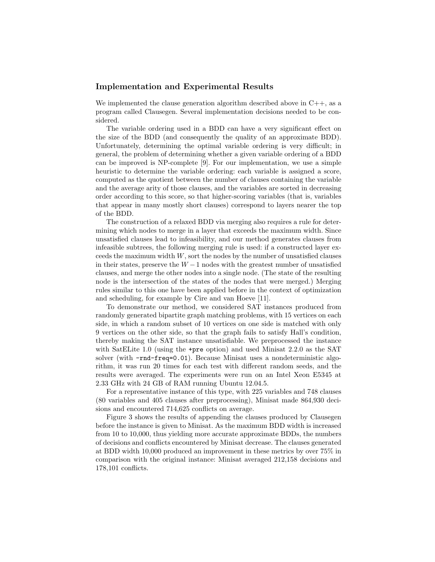## Implementation and Experimental Results

We implemented the clause generation algorithm described above in  $C_{++}$ , as a program called Clausegen. Several implementation decisions needed to be considered.

The variable ordering used in a BDD can have a very significant effect on the size of the BDD (and consequently the quality of an approximate BDD). Unfortunately, determining the optimal variable ordering is very difficult; in general, the problem of determining whether a given variable ordering of a BDD can be improved is NP-complete [9]. For our implementation, we use a simple heuristic to determine the variable ordering: each variable is assigned a score, computed as the quotient between the number of clauses containing the variable and the average arity of those clauses, and the variables are sorted in decreasing order according to this score, so that higher-scoring variables (that is, variables that appear in many mostly short clauses) correspond to layers nearer the top of the BDD.

The construction of a relaxed BDD via merging also requires a rule for determining which nodes to merge in a layer that exceeds the maximum width. Since unsatisfied clauses lead to infeasibility, and our method generates clauses from infeasible subtrees, the following merging rule is used: if a constructed layer exceeds the maximum width  $W$ , sort the nodes by the number of unsatisfied clauses in their states, preserve the  $W-1$  nodes with the greatest number of unsatisfied clauses, and merge the other nodes into a single node. (The state of the resulting node is the intersection of the states of the nodes that were merged.) Merging rules similar to this one have been applied before in the context of optimization and scheduling, for example by Cire and van Hoeve [11].

To demonstrate our method, we considered SAT instances produced from randomly generated bipartite graph matching problems, with 15 vertices on each side, in which a random subset of 10 vertices on one side is matched with only 9 vertices on the other side, so that the graph fails to satisfy Hall's condition, thereby making the SAT instance unsatisfiable. We preprocessed the instance with SatELite 1.0 (using the +pre option) and used Minisat 2.2.0 as the SAT solver (with -rnd-freq=0.01). Because Minisat uses a nondeterministic algorithm, it was run 20 times for each test with different random seeds, and the results were averaged. The experiments were run on an Intel Xeon E5345 at 2.33 GHz with 24 GB of RAM running Ubuntu 12.04.5.

For a representative instance of this type, with 225 variables and 748 clauses (80 variables and 405 clauses after preprocessing), Minisat made 864,930 decisions and encountered 714,625 conflicts on average.

Figure 3 shows the results of appending the clauses produced by Clausegen before the instance is given to Minisat. As the maximum BDD width is increased from 10 to 10,000, thus yielding more accurate approximate BDDs, the numbers of decisions and conflicts encountered by Minisat decrease. The clauses generated at BDD width 10,000 produced an improvement in these metrics by over 75% in comparison with the original instance: Minisat averaged 212,158 decisions and 178,101 conflicts.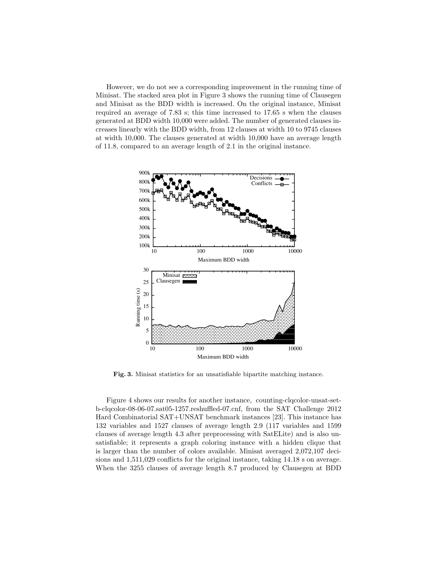However, we do not see a corresponding improvement in the running time of Minisat. The stacked area plot in Figure 3 shows the running time of Clausegen and Minisat as the BDD width is increased. On the original instance, Minisat required an average of 7.83 s; this time increased to 17.65 s when the clauses generated at BDD width 10,000 were added. The number of generated clauses increases linearly with the BDD width, from 12 clauses at width 10 to 9745 clauses at width 10,000. The clauses generated at width 10,000 have an average length of 11.8, compared to an average length of 2.1 in the original instance.



Fig. 3. Minisat statistics for an unsatisfiable bipartite matching instance.

Figure 4 shows our results for another instance, counting-clqcolor-unsat-setb-clqcolor-08-06-07.sat05-1257.reshuffled-07.cnf, from the SAT Challenge 2012 Hard Combinatorial SAT+UNSAT benchmark instances [23]. This instance has 132 variables and 1527 clauses of average length 2.9 (117 variables and 1599 clauses of average length 4.3 after preprocessing with SatELite) and is also unsatisfiable; it represents a graph coloring instance with a hidden clique that is larger than the number of colors available. Minisat averaged 2,072,107 decisions and 1,511,029 conflicts for the original instance, taking 14.18 s on average. When the 3255 clauses of average length 8.7 produced by Clausegen at BDD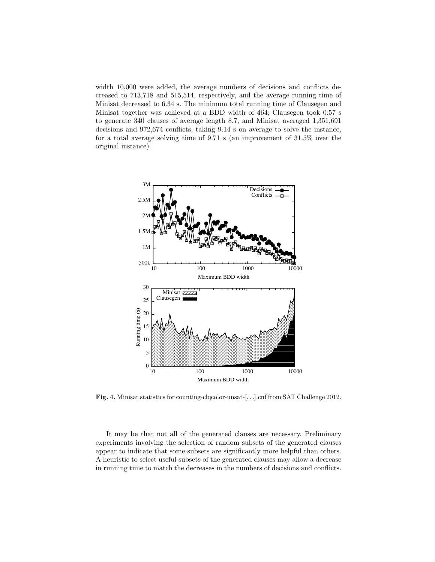width 10,000 were added, the average numbers of decisions and conflicts decreased to 713,718 and 515,514, respectively, and the average running time of Minisat decreased to 6.34 s. The minimum total running time of Clausegen and Minisat together was achieved at a BDD width of 464; Clausegen took 0.57 s to generate 340 clauses of average length 8.7, and Minisat averaged 1,351,691 decisions and 972,674 conflicts, taking 9.14 s on average to solve the instance, for a total average solving time of 9.71 s (an improvement of 31.5% over the original instance).



Fig. 4. Minisat statistics for counting-clqcolor-unsat-[. . .].cnf from SAT Challenge 2012.

It may be that not all of the generated clauses are necessary. Preliminary experiments involving the selection of random subsets of the generated clauses appear to indicate that some subsets are significantly more helpful than others. A heuristic to select useful subsets of the generated clauses may allow a decrease in running time to match the decreases in the numbers of decisions and conflicts.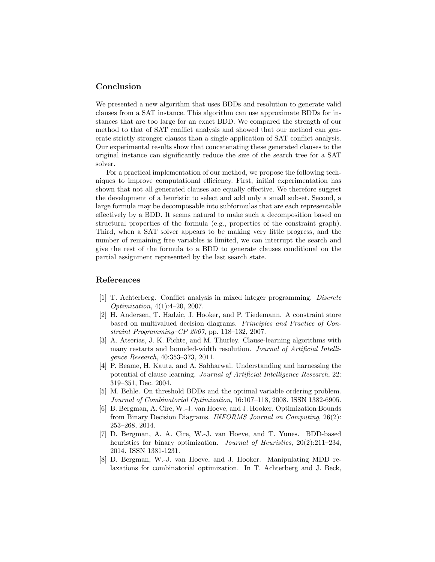## Conclusion

We presented a new algorithm that uses BDDs and resolution to generate valid clauses from a SAT instance. This algorithm can use approximate BDDs for instances that are too large for an exact BDD. We compared the strength of our method to that of SAT conflict analysis and showed that our method can generate strictly stronger clauses than a single application of SAT conflict analysis. Our experimental results show that concatenating these generated clauses to the original instance can significantly reduce the size of the search tree for a SAT solver.

For a practical implementation of our method, we propose the following techniques to improve computational efficiency. First, initial experimentation has shown that not all generated clauses are equally effective. We therefore suggest the development of a heuristic to select and add only a small subset. Second, a large formula may be decomposable into subformulas that are each representable effectively by a BDD. It seems natural to make such a decomposition based on structural properties of the formula (e.g., properties of the constraint graph). Third, when a SAT solver appears to be making very little progress, and the number of remaining free variables is limited, we can interrupt the search and give the rest of the formula to a BDD to generate clauses conditional on the partial assignment represented by the last search state.

## References

- [1] T. Achterberg. Conflict analysis in mixed integer programming. Discrete Optimization, 4(1):4–20, 2007.
- [2] H. Andersen, T. Hadzic, J. Hooker, and P. Tiedemann. A constraint store based on multivalued decision diagrams. Principles and Practice of Constraint Programming–CP 2007, pp. 118–132, 2007.
- [3] A. Atserias, J. K. Fichte, and M. Thurley. Clause-learning algorithms with many restarts and bounded-width resolution. Journal of Artificial Intelligence Research, 40:353–373, 2011.
- [4] P. Beame, H. Kautz, and A. Sabharwal. Understanding and harnessing the potential of clause learning. Journal of Artificial Intelligence Research, 22: 319–351, Dec. 2004.
- [5] M. Behle. On threshold BDDs and the optimal variable ordering problem. Journal of Combinatorial Optimization, 16:107–118, 2008. ISSN 1382-6905.
- [6] B. Bergman, A. Cire, W.-J. van Hoeve, and J. Hooker. Optimization Bounds from Binary Decision Diagrams. INFORMS Journal on Computing, 26(2): 253–268, 2014.
- [7] D. Bergman, A. A. Cire, W.-J. van Hoeve, and T. Yunes. BDD-based heuristics for binary optimization. *Journal of Heuristics*, 20(2):211–234, 2014. ISSN 1381-1231.
- [8] D. Bergman, W.-J. van Hoeve, and J. Hooker. Manipulating MDD relaxations for combinatorial optimization. In T. Achterberg and J. Beck,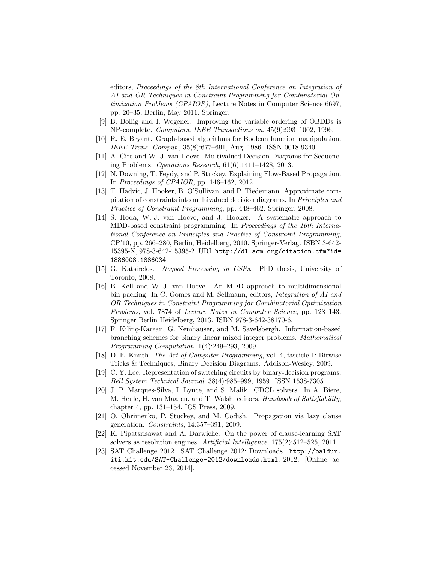editors, Proceedings of the 8th International Conference on Integration of AI and OR Techniques in Constraint Programming for Combinatorial Optimization Problems (CPAIOR), Lecture Notes in Computer Science 6697, pp. 20–35, Berlin, May 2011. Springer.

- [9] B. Bollig and I. Wegener. Improving the variable ordering of OBDDs is NP-complete. Computers, IEEE Transactions on, 45(9):993–1002, 1996.
- [10] R. E. Bryant. Graph-based algorithms for Boolean function manipulation. IEEE Trans. Comput., 35(8):677–691, Aug. 1986. ISSN 0018-9340.
- [11] A. Cire and W.-J. van Hoeve. Multivalued Decision Diagrams for Sequencing Problems. Operations Research, 61(6):1411–1428, 2013.
- [12] N. Downing, T. Feydy, and P. Stuckey. Explaining Flow-Based Propagation. In Proceedings of CPAIOR, pp. 146–162, 2012.
- [13] T. Hadzic, J. Hooker, B. O'Sullivan, and P. Tiedemann. Approximate compilation of constraints into multivalued decision diagrams. In Principles and Practice of Constraint Programming, pp. 448–462. Springer, 2008.
- [14] S. Hoda, W.-J. van Hoeve, and J. Hooker. A systematic approach to MDD-based constraint programming. In Proceedings of the 16th International Conference on Principles and Practice of Constraint Programming, CP'10, pp. 266–280, Berlin, Heidelberg, 2010. Springer-Verlag. ISBN 3-642- 15395-X, 978-3-642-15395-2. URL http://dl.acm.org/citation.cfm?id= 1886008.1886034.
- [15] G. Katsirelos. Nogood Processing in CSPs. PhD thesis, University of Toronto, 2008.
- [16] B. Kell and W.-J. van Hoeve. An MDD approach to multidimensional bin packing. In C. Gomes and M. Sellmann, editors, Integration of AI and OR Techniques in Constraint Programming for Combinatorial Optimization Problems, vol. 7874 of Lecture Notes in Computer Science, pp. 128–143. Springer Berlin Heidelberg, 2013. ISBN 978-3-642-38170-6.
- [17] F. Kilinç-Karzan, G. Nemhauser, and M. Savelsbergh. Information-based branching schemes for binary linear mixed integer problems. Mathematical Programming Computation, 1(4):249–293, 2009.
- [18] D. E. Knuth. The Art of Computer Programming, vol. 4, fascicle 1: Bitwise Tricks & Techniques; Binary Decision Diagrams. Addison-Wesley, 2009.
- [19] C. Y. Lee. Representation of switching circuits by binary-decision programs. Bell System Technical Journal, 38(4):985–999, 1959. ISSN 1538-7305.
- [20] J. P. Marques-Silva, I. Lynce, and S. Malik. CDCL solvers. In A. Biere, M. Heule, H. van Maaren, and T. Walsh, editors, Handbook of Satisfiability, chapter 4, pp. 131–154. IOS Press, 2009.
- [21] O. Ohrimenko, P. Stuckey, and M. Codish. Propagation via lazy clause generation. Constraints, 14:357–391, 2009.
- [22] K. Pipatsrisawat and A. Darwiche. On the power of clause-learning SAT solvers as resolution engines. Artificial Intelligence, 175(2):512–525, 2011.
- [23] SAT Challenge 2012. SAT Challenge 2012: Downloads. http://baldur. iti.kit.edu/SAT-Challenge-2012/downloads.html, 2012. [Online; accessed November 23, 2014].